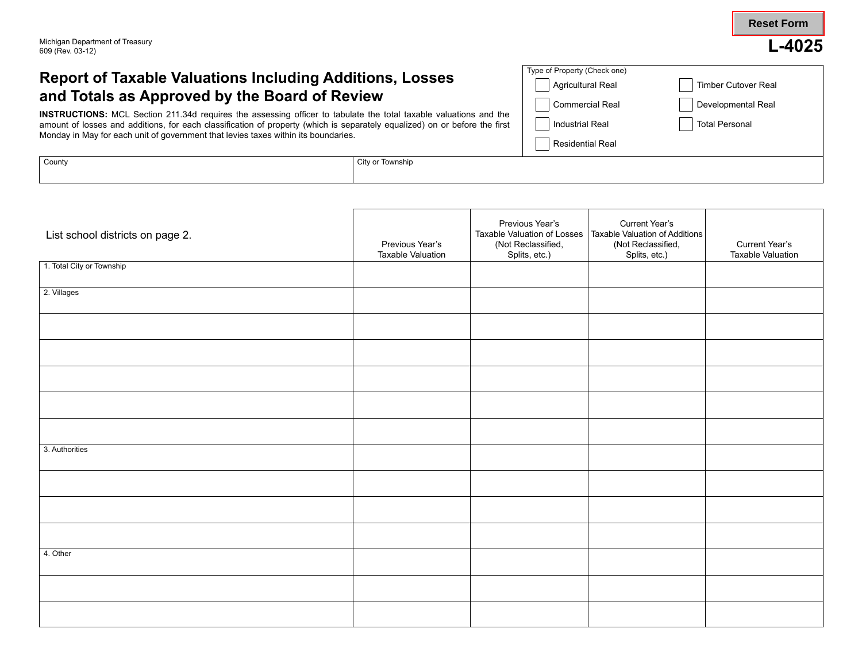**Reset Form**

## **Report of Taxable Valuations Including Additions, Losses and Totals as Approved by the Board of Review**

**INSTRUCTIONS:** MCL Section 211.34d requires the assessing officer to tabulate the total taxable valuations and the amount of losses and additions, for each classification of property (which is separately equalized) on or before the first Monday in May for each unit of government that levies taxes within its boundaries.

| Type of Property (Check one) |                       |
|------------------------------|-----------------------|
| Agricultural Real            | Timber Cutover Real   |
| Commercial Real              | Developmental Real    |
| <b>Industrial Real</b>       | <b>Total Personal</b> |
| <b>Residential Real</b>      |                       |
|                              |                       |

| County | City,<br>Townshir |  |
|--------|-------------------|--|
|        |                   |  |
|        |                   |  |

| List school districts on page 2. | Previous Year's<br><b>Taxable Valuation</b> | Previous Year's<br>Taxable Valuation of Losses<br>(Not Reclassified,<br>Splits, etc.) | Current Year's<br>Taxable Valuation of Additions<br>(Not Reclassified,<br>Splits, etc.) | Current Year's<br>Taxable Valuation |
|----------------------------------|---------------------------------------------|---------------------------------------------------------------------------------------|-----------------------------------------------------------------------------------------|-------------------------------------|
| 1. Total City or Township        |                                             |                                                                                       |                                                                                         |                                     |
| 2. Villages                      |                                             |                                                                                       |                                                                                         |                                     |
|                                  |                                             |                                                                                       |                                                                                         |                                     |
|                                  |                                             |                                                                                       |                                                                                         |                                     |
|                                  |                                             |                                                                                       |                                                                                         |                                     |
|                                  |                                             |                                                                                       |                                                                                         |                                     |
|                                  |                                             |                                                                                       |                                                                                         |                                     |
| 3. Authorities                   |                                             |                                                                                       |                                                                                         |                                     |
|                                  |                                             |                                                                                       |                                                                                         |                                     |
|                                  |                                             |                                                                                       |                                                                                         |                                     |
|                                  |                                             |                                                                                       |                                                                                         |                                     |
| 4. Other                         |                                             |                                                                                       |                                                                                         |                                     |
|                                  |                                             |                                                                                       |                                                                                         |                                     |
|                                  |                                             |                                                                                       |                                                                                         |                                     |